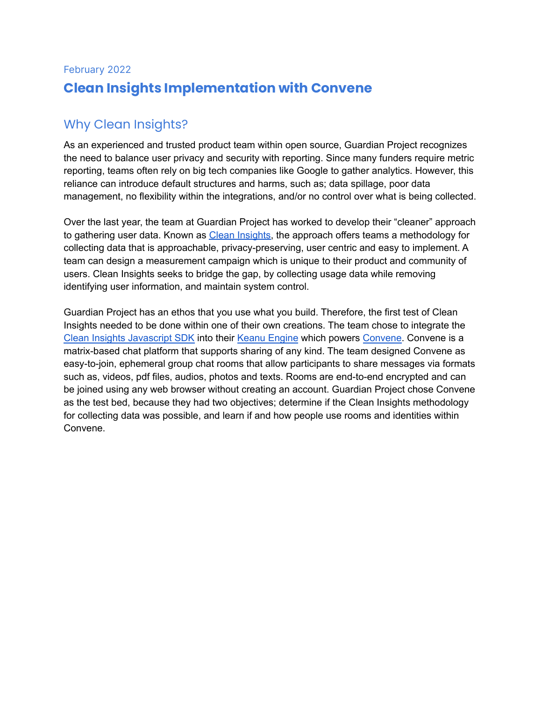# February 2022 **Clean Insights Implementation with Convene**

# Why Clean Insights?

As an experienced and trusted product team within open source, Guardian Project recognizes the need to balance user privacy and security with reporting. Since many funders require metric reporting, teams often rely on big tech companies like Google to gather analytics. However, this reliance can introduce default structures and harms, such as; data spillage, poor data management, no flexibility within the integrations, and/or no control over what is being collected.

Over the last year, the team at Guardian Project has worked to develop their "cleaner" approach to gathering user data. Known as Clean [Insights](http://cleaninsights.io), the approach offers teams a methodology for collecting data that is approachable, privacy-preserving, user centric and easy to implement. A team can design a measurement campaign which is unique to their product and community of users. Clean Insights seeks to bridge the gap, by collecting usage data while removing identifying user information, and maintain system control.

Guardian Project has an ethos that you use what you build. Therefore, the first test of Clean Insights needed to be done within one of their own creations. The team chose to integrate the Clean Insights [Javascript](https://gitlab.com/cleaninsights/clean-insights-js-sdk) SDK into their Keanu [Engine](https://keanu.im/) which powers [Convene.](https://letsconvene.im) Convene is a matrix-based chat platform that supports sharing of any kind. The team designed Convene as easy-to-join, ephemeral group chat rooms that allow participants to share messages via formats such as, videos, pdf files, audios, photos and texts. Rooms are end-to-end encrypted and can be joined using any web browser without creating an account. Guardian Project chose Convene as the test bed, because they had two objectives; determine if the Clean Insights methodology for collecting data was possible, and learn if and how people use rooms and identities within Convene.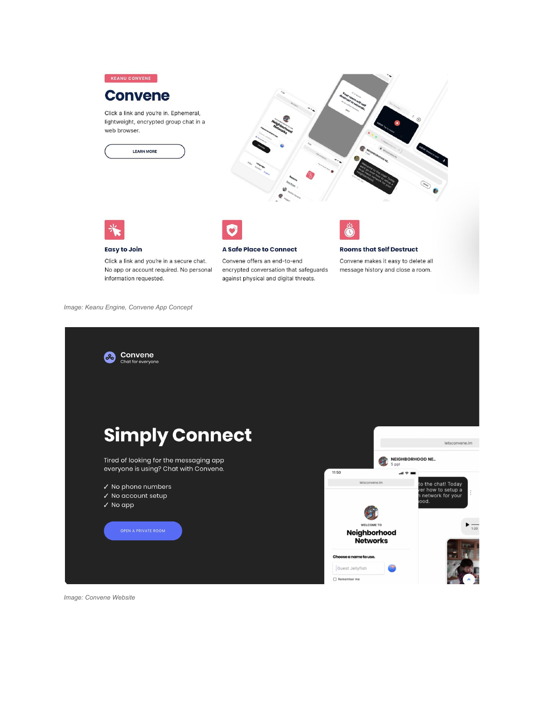

Click a link and you're in a secure chat. No app or account required. No personal information requested.

**A Safe Place to Connect** 

Convene offers an end-to-end encrypted conversation that safeguards against physical and digital threats.

**Rooms that Self Destruct** 

Convene makes it easy to delete all message history and close a room.

*Image: Keanu Engine, Convene App Concept*



*Image: Convene Website*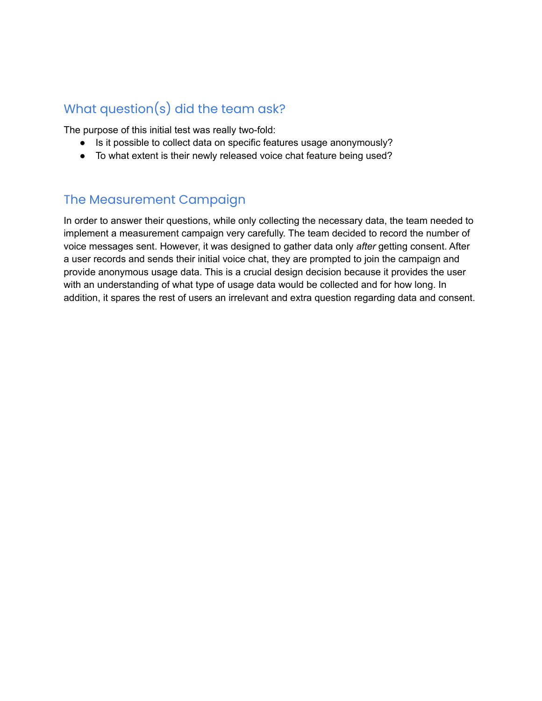# What question(s) did the team ask?

The purpose of this initial test was really two-fold:

- Is it possible to collect data on specific features usage anonymously?
- To what extent is their newly released voice chat feature being used?

## The Measurement Campaign

In order to answer their questions, while only collecting the necessary data, the team needed to implement a measurement campaign very carefully. The team decided to record the number of voice messages sent. However, it was designed to gather data only *after* getting consent. After a user records and sends their initial voice chat, they are prompted to join the campaign and provide anonymous usage data. This is a crucial design decision because it provides the user with an understanding of what type of usage data would be collected and for how long. In addition, it spares the rest of users an irrelevant and extra question regarding data and consent.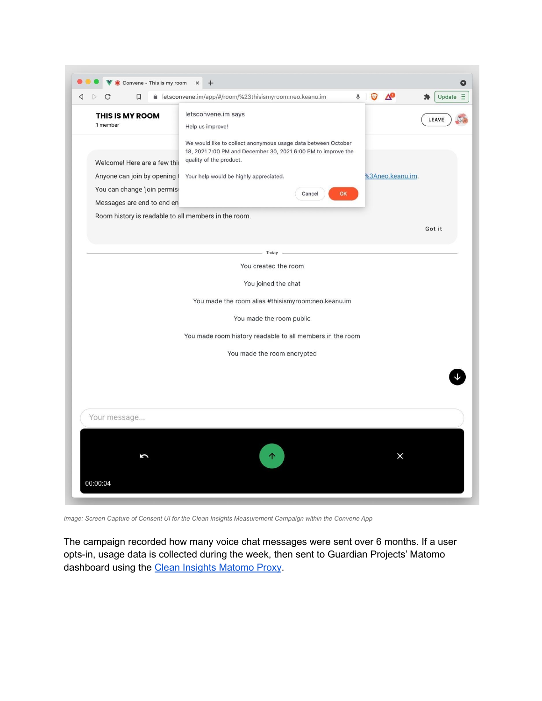

*Image: Screen Capture of Consent UI for the Clean Insights Measurement Campaign within the Convene App*

The campaign recorded how many voice chat messages were sent over 6 months. If a user opts-in, usage data is collected during the week, then sent to Guardian Projects' Matomo dashboard using the **Clean Insights [Matomo](https://gitlab.com/cleaninsights/clean-insights-matomo-proxy) Proxy**.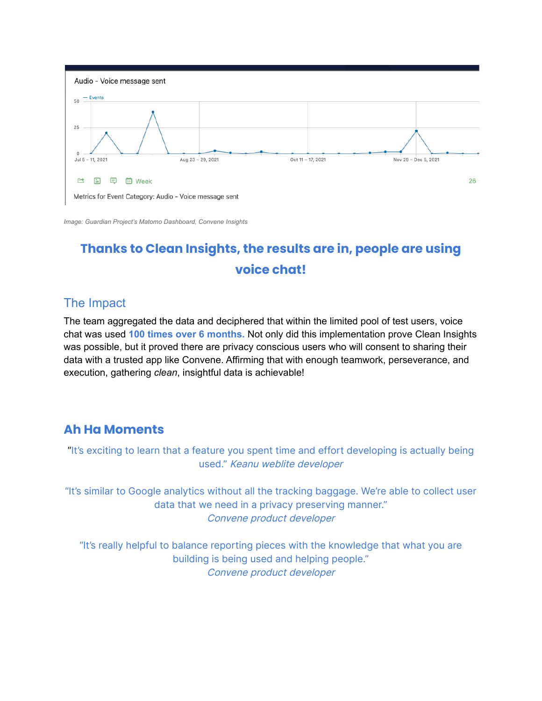

*Image: Guardian Project's Matomo Dashboard, Convene Insights*

# **Thanks to Clean Insights, the results are in, people are using voice chat!**

## The Impact

The team aggregated the data and deciphered that within the limited pool of test users, voice chat was used **100 times over 6 months.** Not only did this implementation prove Clean Insights was possible, but it proved there are privacy conscious users who will consent to sharing their data with a trusted app like Convene. Affirming that with enough teamwork, perseverance, and execution, gathering *clean*, insightful data is achievable!

# **Ah Ha Moments**

"It's exciting to learn that a feature you spent time and effort developing is actually being used." Keanu weblite developer

"It's similar to Google analytics without all the tracking baggage. We're able to collect user data that we need in a privacy preserving manner." Convene product developer

"It's really helpful to balance reporting pieces with the knowledge that what you are building is being used and helping people." Convene product developer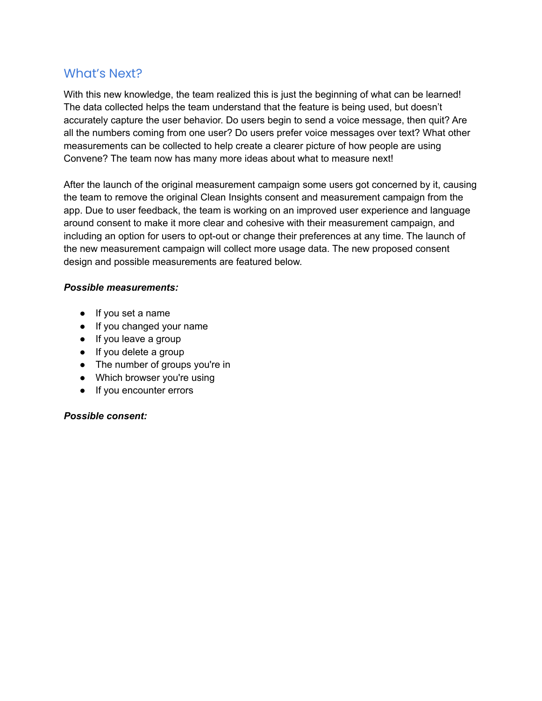#### What's Next?

With this new knowledge, the team realized this is just the beginning of what can be learned! The data collected helps the team understand that the feature is being used, but doesn't accurately capture the user behavior. Do users begin to send a voice message, then quit? Are all the numbers coming from one user? Do users prefer voice messages over text? What other measurements can be collected to help create a clearer picture of how people are using Convene? The team now has many more ideas about what to measure next!

After the launch of the original measurement campaign some users got concerned by it, causing the team to remove the original Clean Insights consent and measurement campaign from the app. Due to user feedback, the team is working on an improved user experience and language around consent to make it more clear and cohesive with their measurement campaign, and including an option for users to opt-out or change their preferences at any time. The launch of the new measurement campaign will collect more usage data. The new proposed consent design and possible measurements are featured below.

#### *Possible measurements:*

- If you set a name
- If you changed your name
- If you leave a group
- If you delete a group
- The number of groups you're in
- Which browser you're using
- If you encounter errors

#### *Possible consent:*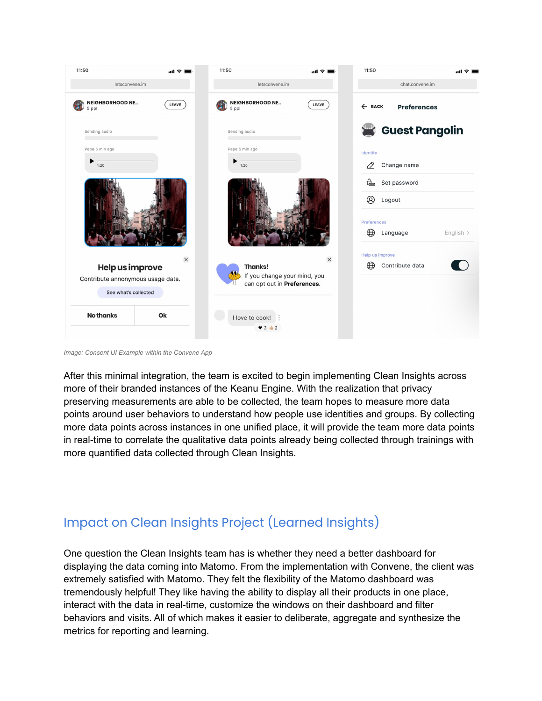

*Image: Consent UI Example within the Convene App*

After this minimal integration, the team is excited to begin implementing Clean Insights across more of their branded instances of the Keanu Engine. With the realization that privacy preserving measurements are able to be collected, the team hopes to measure more data points around user behaviors to understand how people use identities and groups. By collecting more data points across instances in one unified place, it will provide the team more data points in real-time to correlate the qualitative data points already being collected through trainings with more quantified data collected through Clean Insights.

# Impact on Clean Insights Project (Learned Insights)

One question the Clean Insights team has is whether they need a better dashboard for displaying the data coming into Matomo. From the implementation with Convene, the client was extremely satisfied with Matomo. They felt the flexibility of the Matomo dashboard was tremendously helpful! They like having the ability to display all their products in one place, interact with the data in real-time, customize the windows on their dashboard and filter behaviors and visits. All of which makes it easier to deliberate, aggregate and synthesize the metrics for reporting and learning.